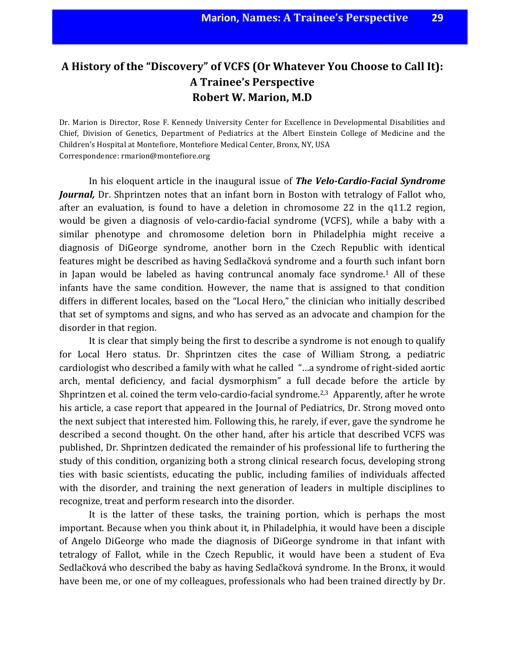# A History of the "Discovery" of VCFS (Or Whatever You Choose to Call It): **A Trainee's Perspective Robert W. Marion, M.D**

Dr. Marion is Director, Rose F. Kennedy University Center for Excellence in Developmental Disabilities and Chief, Division of Genetics, Department of Pediatrics at the Albert Einstein College of Medicine and the Children's Hospital at Montefiore, Montefiore Medical Center, Bronx, NY, USA Correspondence: rmarion@montefiore.org

In his eloquent article in the inaugural issue of **The Velo-Cardio-Facial Syndrome** *Journal*, Dr. Shprintzen notes that an infant born in Boston with tetralogy of Fallot who, after an evaluation, is found to have a deletion in chromosome  $22$  in the q11.2 region, would be given a diagnosis of velo-cardio-facial syndrome (VCFS), while a baby with a similar phenotype and chromosome deletion born in Philadelphia might receive a diagnosis of DiGeorge syndrome, another born in the Czech Republic with identical features might be described as having Sedlačková syndrome and a fourth such infant born in Japan would be labeled as having contruncal anomaly face syndrome.<sup>1</sup> All of these infants have the same condition. However, the name that is assigned to that condition differs in different locales, based on the "Local Hero," the clinician who initially described that set of symptoms and signs, and who has served as an advocate and champion for the disorder in that region.

It is clear that simply being the first to describe a syndrome is not enough to qualify for Local Hero status. Dr. Shprintzen cites the case of William Strong, a pediatric cardiologist who described a family with what he called "...a syndrome of right-sided aortic arch, mental deficiency, and facial dysmorphism" a full decade before the article by Shprintzen et al. coined the term velo-cardio-facial syndrome.<sup>2,3</sup> Apparently, after he wrote his article, a case report that appeared in the Journal of Pediatrics, Dr. Strong moved onto the next subject that interested him. Following this, he rarely, if ever, gave the syndrome he described a second thought. On the other hand, after his article that described VCFS was published, Dr. Shprintzen dedicated the remainder of his professional life to furthering the study of this condition, organizing both a strong clinical research focus, developing strong ties with basic scientists, educating the public, including families of individuals affected with the disorder, and training the next generation of leaders in multiple disciplines to recognize, treat and perform research into the disorder.

It is the latter of these tasks, the training portion, which is perhaps the most important. Because when you think about it, in Philadelphia, it would have been a disciple of Angelo DiGeorge who made the diagnosis of DiGeorge syndrome in that infant with tetralogy of Fallot, while in the Czech Republic, it would have been a student of Eva Sedlačková who described the baby as having Sedlačková syndrome. In the Bronx, it would have been me, or one of my colleagues, professionals who had been trained directly by Dr.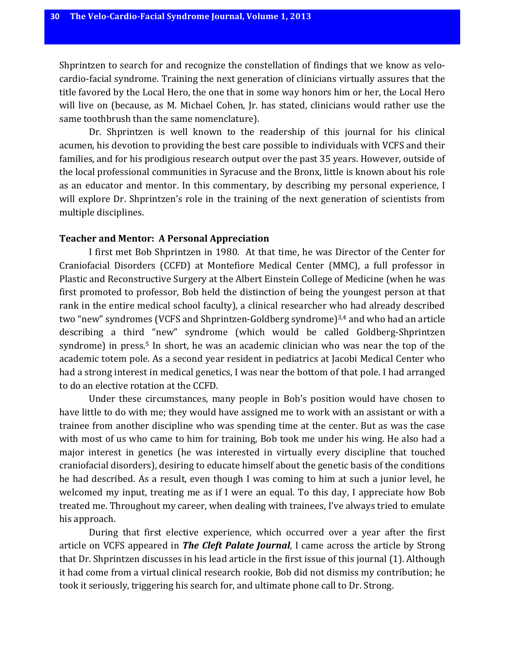Shprintzen to search for and recognize the constellation of findings that we know as velocardio-facial syndrome. Training the next generation of clinicians virtually assures that the title favored by the Local Hero, the one that in some way honors him or her, the Local Hero will live on (because, as M. Michael Cohen, Jr. has stated, clinicians would rather use the same toothbrush than the same nomenclature).

Dr. Shprintzen is well known to the readership of this journal for his clinical acumen, his devotion to providing the best care possible to individuals with VCFS and their families, and for his prodigious research output over the past 35 years. However, outside of the local professional communities in Syracuse and the Bronx, little is known about his role as an educator and mentor. In this commentary, by describing my personal experience, I will explore Dr. Shprintzen's role in the training of the next generation of scientists from multiple disciplines.

#### **Teacher and Mentor: A Personal Appreciation**

I first met Bob Shprintzen in 1980. At that time, he was Director of the Center for Craniofacial Disorders (CCFD) at Montefiore Medical Center (MMC), a full professor in Plastic and Reconstructive Surgery at the Albert Einstein College of Medicine (when he was first promoted to professor, Bob held the distinction of being the youngest person at that rank in the entire medical school faculty), a clinical researcher who had already described two "new" syndromes (VCFS and Shprintzen-Goldberg syndrome)<sup>3,4</sup> and who had an article describing a third "new" syndrome (which would be called Goldberg-Shprintzen syndrome) in press.<sup>5</sup> In short, he was an academic clinician who was near the top of the academic totem pole. As a second year resident in pediatrics at Jacobi Medical Center who had a strong interest in medical genetics, I was near the bottom of that pole. I had arranged to do an elective rotation at the CCFD.

Under these circumstances, many people in Bob's position would have chosen to have little to do with me; they would have assigned me to work with an assistant or with a trainee from another discipline who was spending time at the center. But as was the case with most of us who came to him for training, Bob took me under his wing. He also had a major interest in genetics (he was interested in virtually every discipline that touched craniofacial disorders), desiring to educate himself about the genetic basis of the conditions he had described. As a result, even though I was coming to him at such a junior level, he welcomed my input, treating me as if I were an equal. To this day, I appreciate how Bob treated me. Throughout my career, when dealing with trainees, I've always tried to emulate his approach.

During that first elective experience, which occurred over a year after the first article on VCFS appeared in *The Cleft Palate Journal*, I came across the article by Strong that Dr. Shprintzen discusses in his lead article in the first issue of this journal (1). Although it had come from a virtual clinical research rookie, Bob did not dismiss my contribution; he took it seriously, triggering his search for, and ultimate phone call to Dr. Strong.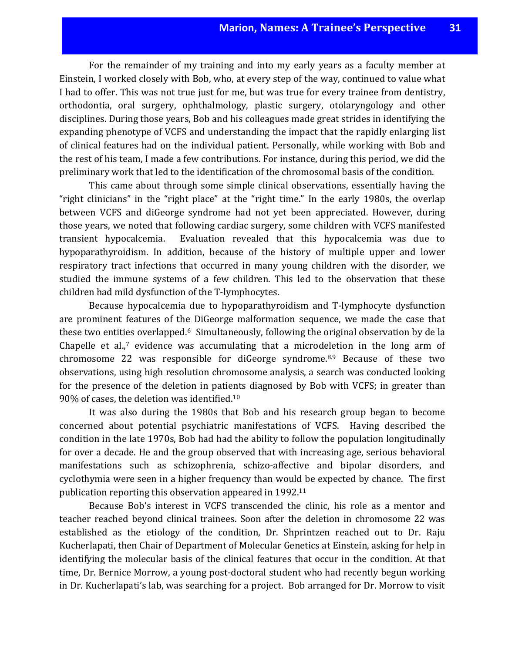For the remainder of my training and into my early years as a faculty member at Einstein, I worked closely with Bob, who, at every step of the way, continued to value what I had to offer. This was not true just for me, but was true for every trainee from dentistry, orthodontia, oral surgery, ophthalmology, plastic surgery, otolaryngology and other disciplines. During those years, Bob and his colleagues made great strides in identifying the expanding phenotype of VCFS and understanding the impact that the rapidly enlarging list of clinical features had on the individual patient. Personally, while working with Bob and the rest of his team, I made a few contributions. For instance, during this period, we did the preliminary work that led to the identification of the chromosomal basis of the condition.

This came about through some simple clinical observations, essentially having the "right clinicians" in the "right place" at the "right time." In the early 1980s, the overlap between VCFS and diGeorge syndrome had not yet been appreciated. However, during those years, we noted that following cardiac surgery, some children with VCFS manifested transient hypocalcemia. Evaluation revealed that this hypocalcemia was due to hypoparathyroidism. In addition, because of the history of multiple upper and lower respiratory tract infections that occurred in many young children with the disorder, we studied the immune systems of a few children. This led to the observation that these children had mild dysfunction of the T-lymphocytes.

Because hypocalcemia due to hypoparathyroidism and T-lymphocyte dysfunction are prominent features of the DiGeorge malformation sequence, we made the case that these two entities overlapped. $6$  Simultaneously, following the original observation by de la Chapelle et al., $7$  evidence was accumulating that a microdeletion in the long arm of chromosome 22 was responsible for diGeorge syndrome. $8.9$  Because of these two observations, using high resolution chromosome analysis, a search was conducted looking for the presence of the deletion in patients diagnosed by Bob with VCFS; in greater than  $90\%$  of cases, the deletion was identified.<sup>10</sup>

It was also during the 1980s that Bob and his research group began to become concerned about potential psychiatric manifestations of VCFS. Having described the condition in the late 1970s, Bob had had the ability to follow the population longitudinally for over a decade. He and the group observed that with increasing age, serious behavioral manifestations such as schizophrenia, schizo-affective and bipolar disorders, and cyclothymia were seen in a higher frequency than would be expected by chance. The first publication reporting this observation appeared in 1992.<sup>11</sup>

Because Bob's interest in VCFS transcended the clinic, his role as a mentor and teacher reached beyond clinical trainees. Soon after the deletion in chromosome 22 was established as the etiology of the condition, Dr. Shprintzen reached out to Dr. Raju Kucherlapati, then Chair of Department of Molecular Genetics at Einstein, asking for help in identifying the molecular basis of the clinical features that occur in the condition. At that time, Dr. Bernice Morrow, a young post-doctoral student who had recently begun working in Dr. Kucherlapati's lab, was searching for a project. Bob arranged for Dr. Morrow to visit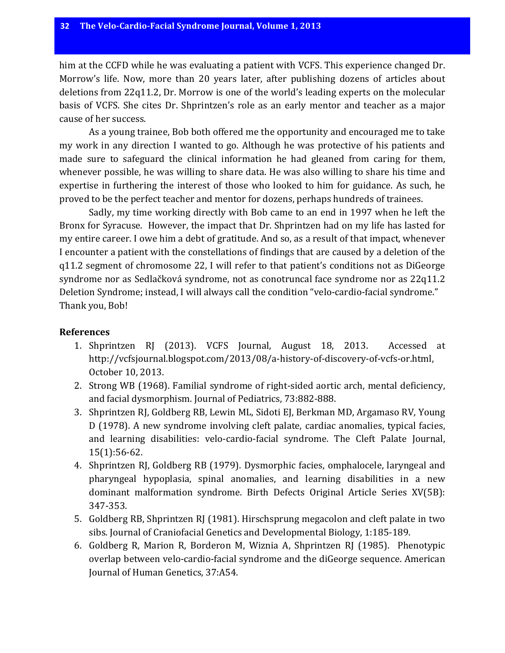him at the CCFD while he was evaluating a patient with VCFS. This experience changed Dr. Morrow's life. Now, more than 20 years later, after publishing dozens of articles about deletions from  $22q11.2$ , Dr. Morrow is one of the world's leading experts on the molecular basis of VCFS. She cites Dr. Shprintzen's role as an early mentor and teacher as a major cause of her success.

As a young trainee, Bob both offered me the opportunity and encouraged me to take my work in any direction I wanted to go. Although he was protective of his patients and made sure to safeguard the clinical information he had gleaned from caring for them, whenever possible, he was willing to share data. He was also willing to share his time and expertise in furthering the interest of those who looked to him for guidance. As such, he proved to be the perfect teacher and mentor for dozens, perhaps hundreds of trainees.

Sadly, my time working directly with Bob came to an end in 1997 when he left the Bronx for Syracuse. However, the impact that Dr. Shprintzen had on my life has lasted for my entire career. I owe him a debt of gratitude. And so, as a result of that impact, whenever I encounter a patient with the constellations of findings that are caused by a deletion of the q11.2 segment of chromosome 22, I will refer to that patient's conditions not as DiGeorge syndrome nor as Sedlačková syndrome, not as conotruncal face syndrome nor as 22q11.2 Deletion Syndrome; instead, I will always call the condition "velo-cardio-facial syndrome." Thank you, Bob!

#### **References**

- 1. Shprintzen RJ (2013). VCFS Journal, August 18, 2013. Accessed at http://vcfsjournal.blogspot.com/2013/08/a-history-of-discovery-of-vcfs-or.html, October 10, 2013.
- 2. Strong WB (1968). Familial syndrome of right-sided aortic arch, mental deficiency, and facial dysmorphism. Journal of Pediatrics, 73:882-888.
- 3. Shprintzen RJ, Goldberg RB, Lewin ML, Sidoti EJ, Berkman MD, Argamaso RV, Young D (1978). A new syndrome involving cleft palate, cardiac anomalies, typical facies, and learning disabilities: velo-cardio-facial syndrome. The Cleft Palate Journal, 15(1):56-62.
- 4. Shprintzen RJ, Goldberg RB (1979). Dysmorphic facies, omphalocele, laryngeal and pharyngeal hypoplasia, spinal anomalies, and learning disabilities in a new dominant malformation syndrome. Birth Defects Original Article Series XV(5B): 347-353.
- 5. Goldberg RB, Shprintzen RJ (1981). Hirschsprung megacolon and cleft palate in two sibs. Journal of Craniofacial Genetics and Developmental Biology, 1:185-189.
- 6. Goldberg R, Marion R, Borderon M, Wiznia A, Shprintzen RJ (1985). Phenotypic overlap between velo-cardio-facial syndrome and the diGeorge sequence. American Journal of Human Genetics, 37:A54.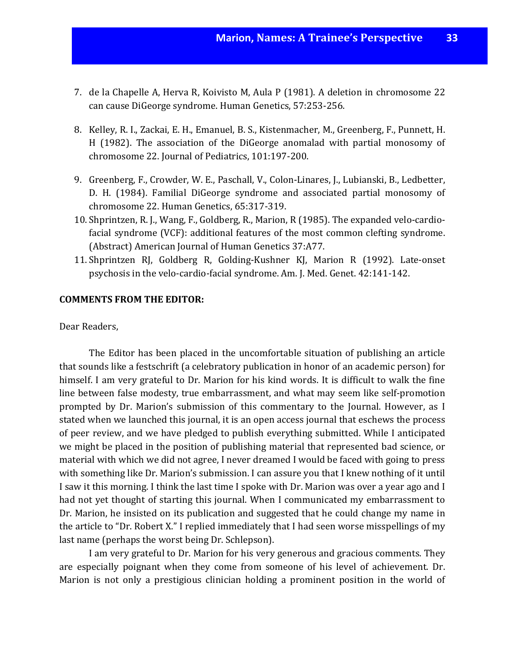- 7. de la Chapelle A, Herva R, Koivisto M, Aula P (1981). A deletion in chromosome 22 can cause DiGeorge syndrome. Human Genetics, 57:253-256.
- 8. Kelley, R. I., Zackai, E. H., Emanuel, B. S., Kistenmacher, M., Greenberg, F., Punnett, H. H (1982). The association of the DiGeorge anomalad with partial monosomy of chromosome 22. Journal of Pediatrics, 101:197-200.
- 9. Greenberg, F., Crowder, W. E., Paschall, V., Colon-Linares, J., Lubianski, B., Ledbetter, D. H. (1984). Familial DiGeorge syndrome and associated partial monosomy of chromosome 22. Human Genetics, 65:317-319.
- 10. Shprintzen, R. J., Wang, F., Goldberg, R., Marion, R (1985). The expanded velo-cardiofacial syndrome (VCF): additional features of the most common clefting syndrome. (Abstract) American Journal of Human Genetics 37:A77.
- 11. Shprintzen RJ, Goldberg R, Golding-Kushner KJ, Marion R (1992). Late-onset psychosis in the velo-cardio-facial syndrome. Am. J. Med. Genet. 42:141-142.

### **COMMENTS FROM THE EDITOR:**

Dear Readers,

The Editor has been placed in the uncomfortable situation of publishing an article that sounds like a festschrift (a celebratory publication in honor of an academic person) for himself. I am very grateful to Dr. Marion for his kind words. It is difficult to walk the fine line between false modesty, true embarrassment, and what may seem like self-promotion prompted by Dr. Marion's submission of this commentary to the Journal. However, as I stated when we launched this journal, it is an open access journal that eschews the process of peer review, and we have pledged to publish everything submitted. While I anticipated we might be placed in the position of publishing material that represented bad science, or material with which we did not agree, I never dreamed I would be faced with going to press with something like Dr. Marion's submission. I can assure you that I knew nothing of it until I saw it this morning. I think the last time I spoke with Dr. Marion was over a year ago and I had not yet thought of starting this journal. When I communicated my embarrassment to Dr. Marion, he insisted on its publication and suggested that he could change my name in the article to "Dr. Robert X." I replied immediately that I had seen worse misspellings of my last name (perhaps the worst being Dr. Schlepson).

I am very grateful to Dr. Marion for his very generous and gracious comments. They are especially poignant when they come from someone of his level of achievement. Dr. Marion is not only a prestigious clinician holding a prominent position in the world of